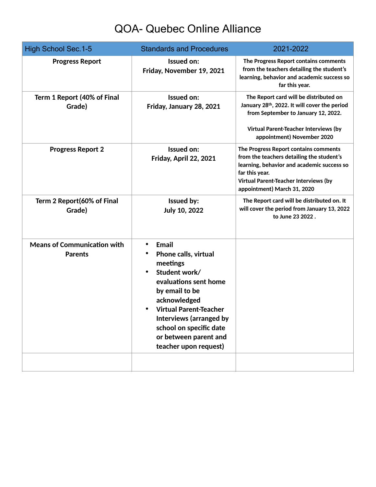## QOA- Quebec Online Alliance

| <b>High School Sec. 1-5</b>                          | <b>Standards and Procedures</b>                                                                                                                                                                                                                                              | 2021-2022                                                                                                                                                                                                                         |
|------------------------------------------------------|------------------------------------------------------------------------------------------------------------------------------------------------------------------------------------------------------------------------------------------------------------------------------|-----------------------------------------------------------------------------------------------------------------------------------------------------------------------------------------------------------------------------------|
| <b>Progress Report</b>                               | Issued on:<br>Friday, November 19, 2021                                                                                                                                                                                                                                      | The Progress Report contains comments<br>from the teachers detailing the student's<br>learning, behavior and academic success so<br>far this year.                                                                                |
| Term 1 Report (40% of Final<br>Grade)                | Issued on:<br>Friday, January 28, 2021                                                                                                                                                                                                                                       | The Report card will be distributed on<br>January 28th, 2022. It will cover the period<br>from September to January 12, 2022.<br>Virtual Parent-Teacher Interviews (by<br>appointment) November 2020                              |
| <b>Progress Report 2</b>                             | Issued on:<br>Friday, April 22, 2021                                                                                                                                                                                                                                         | The Progress Report contains comments<br>from the teachers detailing the student's<br>learning, behavior and academic success so<br>far this year.<br><b>Virtual Parent-Teacher Interviews (by</b><br>appointment) March 31, 2020 |
| Term 2 Report(60% of Final<br>Grade)                 | <b>Issued by:</b><br><b>July 10, 2022</b>                                                                                                                                                                                                                                    | The Report card will be distributed on. It<br>will cover the period from January 13, 2022<br>to June 23 2022.                                                                                                                     |
| <b>Means of Communication with</b><br><b>Parents</b> | <b>Email</b><br><b>Phone calls, virtual</b><br>meetings<br>Student work/<br>evaluations sent home<br>by email to be<br>acknowledged<br><b>Virtual Parent-Teacher</b><br>Interviews (arranged by<br>school on specific date<br>or between parent and<br>teacher upon request) |                                                                                                                                                                                                                                   |
|                                                      |                                                                                                                                                                                                                                                                              |                                                                                                                                                                                                                                   |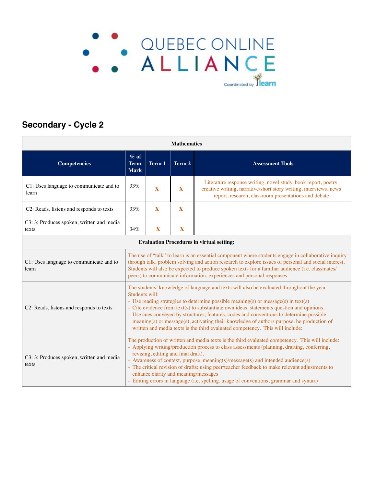# . QUEBEC ONLINE<br>ALLIANCE Coordinated by **Tlearn**

### **Secondary - Cycle 2**

| <b>Mathematics</b>                                 |                                                                                                                                                                                                                                                                                                                                                                                                                                                                                                                                                                          |              |              |                                                                                                                                                                                             |  |  |  |
|----------------------------------------------------|--------------------------------------------------------------------------------------------------------------------------------------------------------------------------------------------------------------------------------------------------------------------------------------------------------------------------------------------------------------------------------------------------------------------------------------------------------------------------------------------------------------------------------------------------------------------------|--------------|--------------|---------------------------------------------------------------------------------------------------------------------------------------------------------------------------------------------|--|--|--|
| <b>Competencies</b>                                | $%$ of<br><b>Term</b><br><b>Mark</b>                                                                                                                                                                                                                                                                                                                                                                                                                                                                                                                                     | Term 1       | Term 2       | <b>Assessment Tools</b>                                                                                                                                                                     |  |  |  |
| C1: Uses language to communicate and to<br>learn   | 33%                                                                                                                                                                                                                                                                                                                                                                                                                                                                                                                                                                      | $\mathbf{X}$ | $\mathbf{X}$ | Literature response writing, novel study, book report, poetry,<br>creative writing, narrative/short story writing, interviews, news<br>report, research, classroom presentations and debate |  |  |  |
| C2: Reads, listens and responds to texts           | 33%                                                                                                                                                                                                                                                                                                                                                                                                                                                                                                                                                                      | X            | $\mathbf{X}$ |                                                                                                                                                                                             |  |  |  |
| C3: 3: Produces spoken, written and media<br>texts | 34%                                                                                                                                                                                                                                                                                                                                                                                                                                                                                                                                                                      | X            | X            |                                                                                                                                                                                             |  |  |  |
| <b>Evaluation Procedures in virtual setting:</b>   |                                                                                                                                                                                                                                                                                                                                                                                                                                                                                                                                                                          |              |              |                                                                                                                                                                                             |  |  |  |
| C1: Uses language to communicate and to<br>learn   | The use of "talk" to learn is an essential component where students engage in collaborative inquiry<br>through talk, problem solving and action research to explore issues of personal and social interest.<br>Students will also be expected to produce spoken texts for a familiar audience (i.e. classmates/<br>peers) to communicate information, experiences and personal responses.                                                                                                                                                                                |              |              |                                                                                                                                                                                             |  |  |  |
| C2: Reads, listens and responds to texts           | The students' knowledge of language and texts will also be evaluated throughout the year.<br>Students will:<br>- Use reading strategies to determine possible meaning(s) or message(s) in text(s)<br>- Cite evidence from text(s) to substantiate own ideas, statements question and opinions.<br>- Use cues conveyed by structures, features, codes and conventions to determine possible<br>meaning(s) or message(s), activating their knowledge of authors purpose. he production of<br>written and media texts is the third evaluated competency. This will include: |              |              |                                                                                                                                                                                             |  |  |  |
| C3: 3: Produces spoken, written and media<br>texts | The production of written and media texts is the third evaluated competency. This will include:<br>- Applying writing/production process to class assessments (planning, drafting, conferring,<br>revising, editing and final draft).<br>- Awareness of context, purpose, meaning(s)/message(s) and intended audience(s)<br>- The critical revision of drafts; using peer/teacher feedback to make relevant adjustments to<br>enhance clarity and meaning/messages<br>- Editing errors in language (i.e. spelling, usage of conventions, grammar and syntax)             |              |              |                                                                                                                                                                                             |  |  |  |